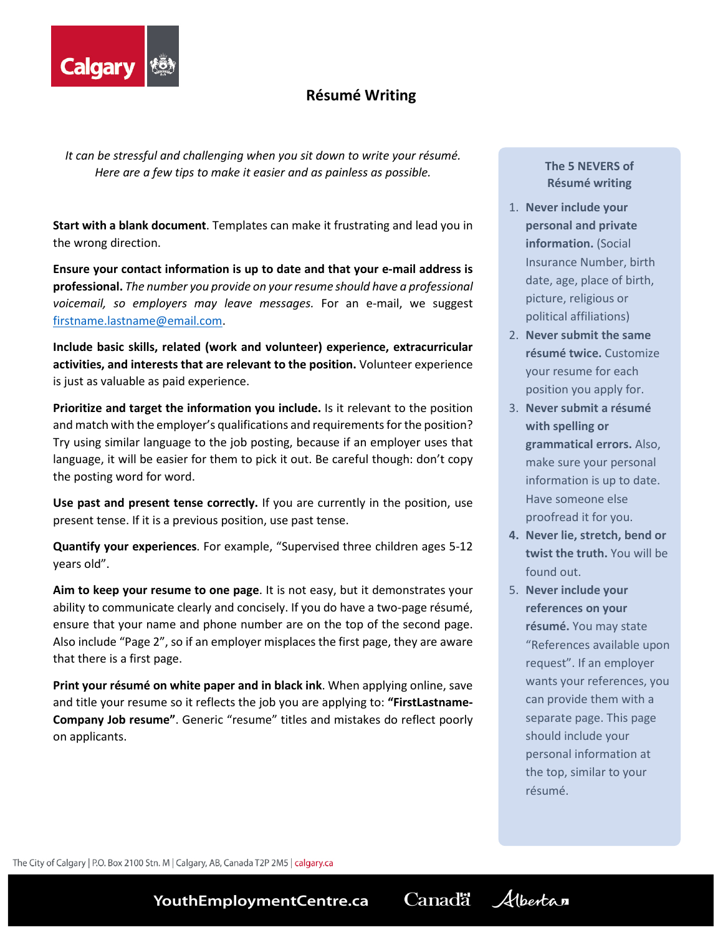

# **Résumé Writing**

*It can be stressful and challenging when you sit down to write your résumé. Here are a few tips to make it easier and as painless as possible.*

**Start with a blank document**. Templates can make it frustrating and lead you in the wrong direction.

**Ensure your contact information is up to date and that your e-mail address is professional.** *The number you provide on your resume should have a professional voicemail, so employers may leave messages.* For an e-mail, we suggest [firstname.lastname@email.com.](mailto:firstname.lastname@email.com)

**Include basic skills, related (work and volunteer) experience, extracurricular activities, and interests that are relevant to the position.** Volunteer experience is just as valuable as paid experience.

**Prioritize and target the information you include.** Is it relevant to the position and match with the employer's qualifications and requirements for the position? Try using similar language to the job posting, because if an employer uses that language, it will be easier for them to pick it out. Be careful though: don't copy the posting word for word.

**Use past and present tense correctly.** If you are currently in the position, use present tense. If it is a previous position, use past tense.

**Quantify your experiences**. For example, "Supervised three children ages 5-12 years old".

**Aim to keep your resume to one page**. It is not easy, but it demonstrates your ability to communicate clearly and concisely. If you do have a two-page résumé, ensure that your name and phone number are on the top of the second page. Also include "Page 2", so if an employer misplaces the first page, they are aware that there is a first page.

**Print your résumé on white paper and in black ink**. When applying online, save and title your resume so it reflects the job you are applying to: **"FirstLastname-Company Job resume"**. Generic "resume" titles and mistakes do reflect poorly on applicants.

**The 5 NEVERS of Résumé writing**

- 1. **Never include your personal and private information.** (Social Insurance Number, birth date, age, place of birth, picture, religious or political affiliations)
- 2. **Never submit the same résumé twice.** Customize your resume for each position you apply for.
- 3. **Never submit a résumé with spelling or grammatical errors.** Also, make sure your personal information is up to date. Have someone else proofread it for you.
- **4. Never lie, stretch, bend or twist the truth.** You will be found out.
- 5. **Never include your references on your résumé.** You may state "References available upon request". If an employer wants your references, you can provide them with a separate page. This page should include your personal information at the top, similar to your résumé.

The City of Calgary | P.O. Box 2100 Stn. M | Calgary, AB, Canada T2P 2M5 | calgary.ca